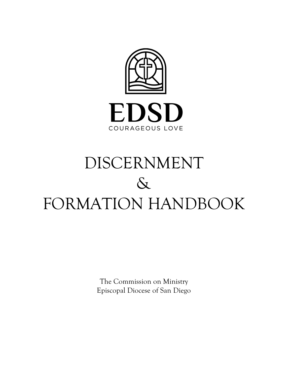

# DISCERNMENT  $\delta$ FORMATION HANDBOOK

The Commission on Ministry Episcopal Diocese of San Diego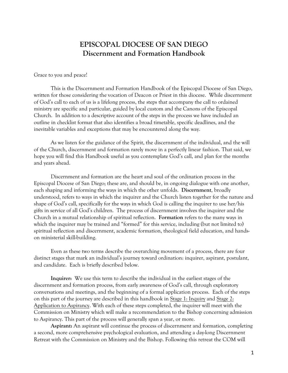# **EPISCOPAL DIOCESE OF SAN DIEGO Discernment and Formation Handbook**

Grace to you and peace!

This is the Discernment and Formation Handbook of the Episcopal Diocese of San Diego, written for those considering the vocation of Deacon or Priest in this diocese. While discernment of God's call to each of us is a lifelong process, the steps that accompany the call to ordained ministry are specific and particular, guided by local custom and the Canons of the Episcopal Church. In addition to a descriptive account of the steps in the process we have included an outline in checklist format that also identifies a broad timetable, specific deadlines, and the inevitable variables and exceptions that may be encountered along the way.

As we listen for the guidance of the Spirit, the discernment of the individual, and the will of the Church, discernment and formation rarely move in a perfectly linear fashion. That said, we hope you will find this Handbook useful as you contemplate God's call, and plan for the months and years ahead.

Discernment and formation are the heart and soul of the ordination process in the Episcopal Diocese of San Diego; these are, and should be, in ongoing dialogue with one another, each shaping and informing the ways in which the other unfolds. **Discernment**, broadly understood, refers to ways in which the inquirer and the Church listen together for the nature and shape of God's call, specifically for the ways in which God is calling the inquirer to use her/his gifts in service of all God's children. The process of discernment involves the inquirer and the Church in a mutual relationship of spiritual reflection. **Formation** refers to the many ways in which the inquirer may be trained and "formed" for this service, including (but not limited to) spiritual reflection and discernment, academic formation, theological field education, and handson ministerial skill-building.

Even as these two terms describe the overarching movement of a process, there are four distinct stages that mark an individual's journey toward ordination: inquirer, aspirant, postulant, and candidate. Each is briefly described below.

**Inquirer:** We use this term to describe the individual in the earliest stages of the discernment and formation process, from early awareness of God's call, through exploratory conversations and meetings, and the beginning of a formal application process. Each of the steps on this part of the journey are described in this handbook in Stage 1: Inquiry and Stage 2: Application to Aspirancy. With each of these steps completed, the inquirer will meet with the Commission on Ministry which will make a recommendation to the Bishop concerning admission to Aspirancy. This part of the process will generally span a year, or more.

**Aspirant:** An aspirant will continue the process of discernment and formation, completing a second, more comprehensive psychological evaluation, and attending a day-long Discernment Retreat with the Commission on Ministry and the Bishop. Following this retreat the COM will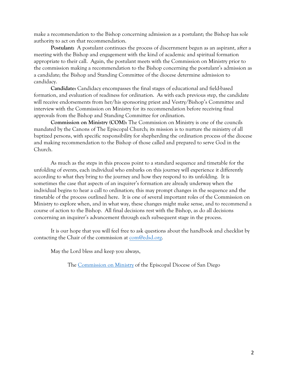make a recommendation to the Bishop concerning admission as a postulant; the Bishop has sole authority to act on that recommendation.

**Postulant:** A postulant continues the process of discernment begun as an aspirant, after a meeting with the Bishop and engagement with the kind of academic and spiritual formation appropriate to their call. Again, the postulant meets with the Commission on Ministry prior to the commission making a recommendation to the Bishop concerning the postulant's admission as a candidate; the Bishop and Standing Committee of the diocese determine admission to candidacy.

**Candidate:** Candidacy encompasses the final stages of educational and field-based formation, and evaluation of readiness for ordination. As with each previous step, the candidate will receive endorsements from her/his sponsoring priest and Vestry/Bishop's Committee and interview with the Commission on Ministry for its recommendation before receiving final approvals from the Bishop and Standing Committee for ordination.

**Commission on Ministry (COM):** The Commission on Ministry is one of the councils mandated by the Canons of The Episcopal Church; its mission is to nurture the ministry of all baptized persons, with specific responsibility for shepherding the ordination process of the diocese and making recommendation to the Bishop of those called and prepared to serve God in the Church.

As much as the steps in this process point to a standard sequence and timetable for the unfolding of events, each individual who embarks on this journey will experience it differently according to what they bring to the journey and how they respond to its unfolding. It is sometimes the case that aspects of an inquirer's formation are already underway when the individual begins to hear a call to ordination; this may prompt changes in the sequence and the timetable of the process outlined here. It is one of several important roles of the Commission on Ministry to explore when, and in what way, these changes might make sense, and to recommend a course of action to the Bishop. All final decisions rest with the Bishop, as do all decisions concerning an inquirer's advancement through each subsequent stage in the process.

It is our hope that you will feel free to ask questions about the handbook and checklist by contacting the Chair of the commission at [com@edsd.org.](mailto:com@edsd.org)

May the Lord bless and keep you always,

The [Commission on Ministry](https://edsd.org/ordination-process/) of the Episcopal Diocese of San Diego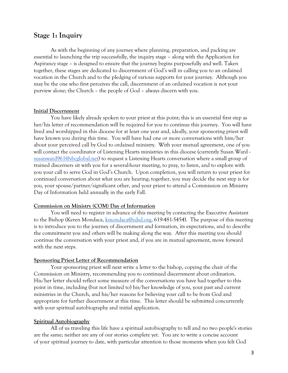## **Stage 1: Inquiry**

As with the beginning of any journey where planning, preparation, and packing are essential to launching the trip successfully, the inquiry stage – along with the Application for Aspirancy stage – is designed to ensure that the journey begins purposefully and well. Taken together, these stages are dedicated to discernment of God's will in calling you to an ordained vocation in the Church and to the pledging of various supports for your journey. Although you may be the one who first perceives the call, discernment of an ordained vocation is not your purview alone; the Church – the people of God – always discern with you.

#### **Initial Discernment**

You have likely already spoken to your priest at this point; this is an essential first step as her/his letter of recommendation will be required for you to continue this journey. You will have lived and worshipped in this diocese for at least one year and, ideally, your sponsoring priest will have known you during this time. You will have had one or more conversations with him/her about your perceived call by God to ordained ministry. With your mutual agreement, one of you will contact the coordinator of Listening Hearts ministries in this diocese (currently Susan Ward [susanward961@sbcglobal.net\)](mailto:susanward961@sbcglobal.net) to request a Listening Hearts conversation where a small group of trained discerners sit with you for a several-hour meeting, to pray, to listen, and to explore with you your call to serve God in God's Church. Upon completion, you will return to your priest for continued conversation about what you are hearing; together, you may decide the next step is for you, your spouse/partner/significant other, and your priest to attend a Commission on Ministry Day of Information held annually in the early Fall.

#### **Commission on Ministry (COM) Day of Information**

You will need to register in advance of this meeting by contacting the Executive Assistant to the Bishop (Keren Mondaca, [kmondaca@edsd.org,](mailto:kmondaca@edsd.org) 619-481-5454). The purpose of this meeting is to introduce you to the journey of discernment and formation, its expectations, and to describe the commitment you and others will be making along the way. After this meeting you should continue the conversation with your priest and, if you are in mutual agreement, move forward with the next steps.

#### **Sponsoring Priest Letter of Recommendation**

Your sponsoring priest will next write a letter to the bishop, copying the chair of the Commission on Ministry, recommending you to continued discernment about ordination. His/her letter should reflect some measure of the conversations you have had together to this point in time, including (but not limited to) his/her knowledge of you, your past and current ministries in the Church, and his/her reasons for believing your call to be from God and appropriate for further discernment at this time. This letter should be submitted concurrently with your spiritual autobiography and initial application.

#### **Spiritual Autobiography**

All of us traveling this life have a spiritual autobiography to tell and no two people's stories are the same; neither are any of our stories complete yet. You are to write a concise account of your spiritual journey to date, with particular attention to those moments when you felt God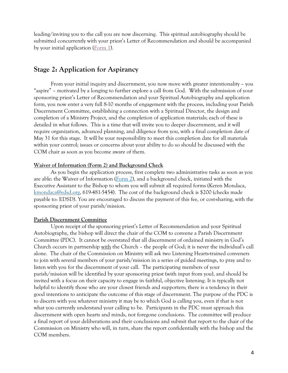leading/inviting you to the call you are now discerning. This spiritual autobiography should be submitted concurrently with your priest's Letter of Recommendation and should be accompanied by your initial application [\(Form 1\)](https://drive.google.com/file/d/1dvmdt7Kt-NPQyjF8BBjGDr67_6S0jsLG/view?usp=sharing).

# **Stage 2: Application for Aspirancy**

From your initial inquiry and discernment, you now move with greater intentionality – you "aspire" – motivated by a longing to further explore a call from God. With the submission of your sponsoring priest's Letter of Recommendation and your Spiritual Autobiography and application form, you now enter a very full 8-10 months of engagement with the process, including your Parish Discernment Committee, establishing a connection with a Spiritual Director, the design and completion of a Ministry Project, and the completion of application materials; each of these is detailed in what follows. This is a time that will invite you to deeper discernment, and it will require organization, advanced planning, and diligence from you, with a final completion date of May 31 for this stage. It will be your responsibility to meet this completion date for all materials within your control; issues or concerns about your ability to do so should be discussed with the COM chair as soon as you become aware of them.

#### **Waiver of Information (Form 2) and Background Check**

As you begin the application process, first complete two administrative tasks as soon as you are able: the Waiver of Information  $(Form 2)$ , and a background check, initiated with the Executive Assistant to the Bishop to whom you will submit all required forms (Keren Mondaca, [kmondaca@edsd.org,](mailto:kmondaca@edsd.org) 619-481-5454). The cost of the background check is \$200 (checks made payable to: EDSD). You are encouraged to discuss the payment of this fee, or cost-sharing, with the sponsoring priest of your parish/mission.

#### **Parish Discernment Committee**

Upon receipt of the sponsoring priest's Letter of Recommendation and your Spiritual Autobiography, the bishop will direct the chair of the COM to convene a Parish Discernment Committee (PDC). It cannot be overstated that all discernment of ordained ministry in God's Church occurs in partnership with the Church – the people of God; it is never the individual's call alone. The chair of the Commission on Ministry will ask two Listening Hearts-trained conveners to join with several members of your parish/mission in a series of guided meetings, to pray and to listen with you for the discernment of your call. The participating members of your parish/mission will be identified by your sponsoring priest (with input from you), and should be invited with a focus on their capacity to engage in faithful, objective listening. It is typically not helpful to identify those who are your closest friends and supporters; there is a tendency in their good intentions to anticipate the outcome of this stage of discernment. The purpose of the PDC is to discern with you whatever ministry it may be to which God is calling you, even if that is not what you currently understand your calling to be. Participants in the PDC must approach this discernment with open hearts and minds, not foregone conclusions. The committee will produce a final report of your deliberations and their conclusions and submit that report to the chair of the Commission on Ministry who will, in turn, share the report confidentially with the bishop and the COM members.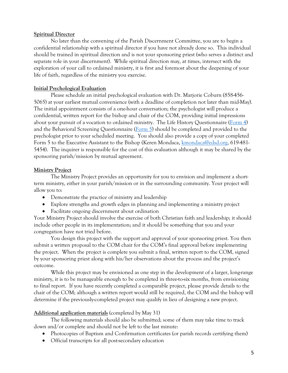#### **Spiritual Director**

No later than the convening of the Parish Discernment Committee, you are to begin a confidential relationship with a spiritual director if you have not already done so. This individual should be trained in spiritual direction and is not your sponsoring priest (who serves a distinct and separate role in your discernment). While spiritual direction may, at times, intersect with the exploration of your call to ordained ministry, it is first and foremost about the deepening of your life of faith, regardless of the ministry you exercise.

## **Initial Psychological Evaluation**

Please schedule an initial psychological evaluation with Dr. Marjorie Coburn (858-456- 5065) at your earliest mutual convenience (with a deadline of completion not later than mid-May). The initial appointment consists of a one-hour conversation; the psychologist will produce a confidential, written report for the bishop and chair of the COM, providing initial impressions about your pursuit of a vocation to ordained ministry. The Life History Questionnaire (Form  $\overline{4}$ ) and the Behavioral Screening Questionnaire [\(Form 5\)](https://drive.google.com/file/d/1CbrSSNe-ILXjFx1YGwehPed8OX8g1LEr/view?usp=sharing) should be completed and provided to the psychologist prior to your scheduled meeting. You should also provide a copy of your completed Form 5 to the Executive Assistant to the Bishop (Keren Mondaca, [kmondaca@edsd.org,](mailto:kmondaca@edsd.org) 619-481- 5454). The inquirer is responsible for the cost of this evaluation although it may be shared by the sponsoring parish/mission by mutual agreement.

## **Ministry Project**

The Ministry Project provides an opportunity for you to envision and implement a shortterm ministry, either in your parish/mission or in the surrounding community. Your project will allow you to:

- Demonstrate the practice of ministry and leadership
- Explore strengths and growth edges in planning and implementing a ministry project
- Facilitate ongoing discernment about ordination

Your Ministry Project should involve the exercise of both Christian faith and leadership; it should include other people in its implementation; and it should be something that you and your congregation have not tried before.

You design this project with the support and approval of your sponsoring priest. You then submit a written proposal to the COM chair for the COM's final approval before implementing the project. When the project is complete you submit a final, written report to the COM, signed by your sponsoring priest along with his/her observations about the process and the project's outcome.

While this project may be envisioned as one step in the development of a larger, long-range ministry, it is to be manageable enough to be completed in three-to-six months, from envisioning to final report. If you have recently completed a comparable project, please provide details to the chair of the COM; although a written report would still be required, the COM and the bishop will determine if the previously-completed project may qualify in lieu of designing a new project.

## **Additional application materials** (completed by May 31)

The following materials should also be submitted; some of them may take time to track down and/or complete and should not be left to the last minute:

- Photocopies of Baptism and Confirmation certificates (or parish records certifying them)
- Official transcripts for all post-secondary education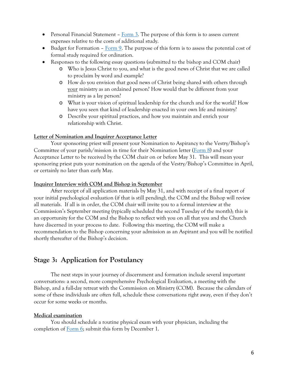- Personal Financial Statement  $\frac{3}{2}$ . The purpose of this form is to assess current expenses relative to the costs of additional study.
- Budget for Formation  $\overline{Form 9}$ . The purpose of this form is to assess the potential cost of formal study required for ordination.
- Responses to the following essay questions (submitted to the bishop and COM chair)
	- o Who is Jesus Christ to you, and what is the good news of Christ that we are called to proclaim by word and example?
	- o How do you envision that good news of Christ being shared with others through your ministry as an ordained person? How would that be different from your ministry as a lay person?
	- o What is your vision of spiritual leadership for the church and for the world? How have you seen that kind of leadership enacted in your own life and ministry?
	- o Describe your spiritual practices, and how you maintain and enrich your relationship with Christ.

## **Letter of Nomination and Inquirer Acceptance Letter**

Your sponsoring priest will present your Nomination to Aspirancy to the Vestry/Bishop's Committee of your parish/mission in time for their Nomination letter [\(Form 8\)](https://drive.google.com/file/d/1mljIo3J0Fe-cC2C4jvyhfaN8uP1rvTrO/view?usp=sharing) and your Acceptance Letter to be received by the COM chair on or before May 31. This will mean your sponsoring priest puts your nomination on the agenda of the Vestry/Bishop's Committee in April, or certainly no later than early May.

#### **Inquirer Interview with COM and Bishop in September**

After receipt of all application materials by May 31, and with receipt of a final report of your initial psychological evaluation (if that is still pending), the COM and the Bishop will review all materials. If all is in order, the COM chair will invite you to a formal interview at the Commission's September meeting (typically scheduled the second Tuesday of the month); this is an opportunity for the COM and the Bishop to reflect with you on all that you and the Church have discerned in your process to date. Following this meeting, the COM will make a recommendation to the Bishop concerning your admission as an Aspirant and you will be notified shortly thereafter of the Bishop's decision.

# **Stage 3: Application for Postulancy**

The next steps in your journey of discernment and formation include several important conversations: a second, more comprehensive Psychological Evaluation, a meeting with the Bishop, and a full-day retreat with the Commission on Ministry (COM). Because the calendars of some of these individuals are often full, schedule these conversations right away, even if they don't occur for some weeks or months.

## **Medical examination**

You should schedule a routine physical exam with your physician, including the completion of [Form 6;](https://drive.google.com/file/d/1Znrd2CRNEyWglDZw5iKoLZtRReGS-3K7/view?usp=sharing) submit this form by December 1.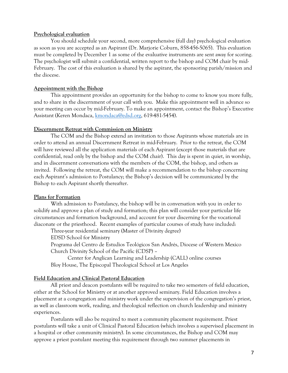#### **Psychological evaluation**

You should schedule your second, more comprehensive (full day) psychological evaluation as soon as you are accepted as an Aspirant (Dr. Marjorie Coburn, 858-456-5065). This evaluation must be completed by December 1 as some of the evaluative instruments are sent away for scoring. The psychologist will submit a confidential, written report to the bishop and COM chair by mid-February. The cost of this evaluation is shared by the aspirant, the sponsoring parish/mission and the diocese.

#### **Appointment with the Bishop**

This appointment provides an opportunity for the bishop to come to know you more fully, and to share in the discernment of your call with you. Make this appointment well in advance so your meeting can occur by mid-February. To make an appointment, contact the Bishop's Executive Assistant (Keren Mondaca, [kmondaca@edsd.org,](mailto:kmondaca@edsd.org) 619-481-5454).

#### **Discernment Retreat with Commission on Ministry**

The COM and the Bishop extend an invitation to those Aspirants whose materials are in order to attend an annual Discernment Retreat in mid-February. Prior to the retreat, the COM will have reviewed all the application materials of each Aspirant (except those materials that are confidential, read only by the bishop and the COM chair). This day is spent in quiet, in worship, and in discernment conversations with the members of the COM, the bishop, and others as invited. Following the retreat, the COM will make a recommendation to the bishop concerning each Aspirant's admission to Postulancy; the Bishop's decision will be communicated by the Bishop to each Aspirant shortly thereafter.

#### **Plans for Formation**

With admission to Postulancy, the bishop will be in conversation with you in order to solidify and approve a plan of study and formation; this plan will consider your particular life circumstances and formation background, and account for your discerning for the vocational diaconate or the priesthood. Recent examples of particular courses of study have included:

Three-year residential seminary (Master of Divinity degree)

EDSD School for Ministry

Programa del Centro de Estudios Teológicos San Andrés, Diocese of Western Mexico Church Divinity School of the Pacific (CDSP) –

Center for Anglican Learning and Leadership (CALL) online courses Bloy House, The Episcopal Theological School at Los Angeles

#### **Field Education and Clinical Pastoral Education**

All priest and deacon postulants will be required to take two semesters of field education, either at the School for Ministry or at another approved seminary. Field Education involves a placement at a congregation and ministry work under the supervision of the congregation's priest, as well as classroom work, reading, and theological reflection on church leadership and ministry experiences.

Postulants will also be required to meet a community placement requirement. Priest postulants will take a unit of Clinical Pastoral Education (which involves a supervised placement in a hospital or other community ministry). In some circumstances, the Bishop and COM may approve a priest postulant meeting this requirement through two summer placements in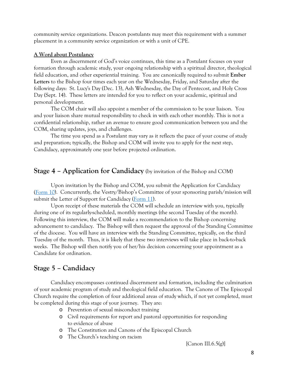community service organizations. Deacon postulants may meet this requirement with a summer placement in a community service organization or with a unit of CPE.

#### **A Word about Postulancy**

Even as discernment of God's voice continues, this time as a Postulant focuses on your formation through academic study, your ongoing relationship with a spiritual director, theological field education, and other experiential training. You are canonically required to submit **Ember Letters** to the Bishop four times each year on the Wednesday, Friday, and Saturday after the following days: St. Lucy's Day (Dec. 13), Ash Wednesday, the Day of Pentecost, and Holy Cross Day (Sept. 14). These letters are intended for you to reflect on your academic, spiritual and personal development.

The COM chair will also appoint a member of the commission to be your liaison. You and your liaison share mutual responsibility to check in with each other monthly. This is not a confidential relationship, rather an avenue to ensure good communication between you and the COM, sharing updates, joys, and challenges.

The time you spend as a Postulant may vary as it reflects the pace of your course of study and preparation; typically, the Bishop and COM will invite you to apply for the next step, Candidacy, approximately one year before projected ordination.

## **Stage 4 – Application for Candidacy** (by invitation of the Bishop and COM)

Upon invitation by the Bishop and COM, you submit the Application for Candidacy [\(Form 10\)](https://drive.google.com/file/d/1eZfI2kYx_LpyvdceEnnfuGbZyUa0Qbyg/view?usp=sharing). Concurrently, the Vestry/Bishop's Committee of your sponsoring parish/mission will submit the Letter of Support for Candidacy [\(Form 11\)](https://drive.google.com/file/d/1ZqrsBq039JcZBSowLdc9CHmVw3liVkVV/view?usp=sharing).

Upon receipt of these materials the COM will schedule an interview with you, typically during one of its regularly-scheduled, monthly meetings (the second Tuesday of the month). Following this interview, the COM will make a recommendation to the Bishop concerning advancement to candidacy. The Bishop will then request the approval of the Standing Committee of the diocese. You will have an interview with the Standing Committee, typically, on the third Tuesday of the month. Thus, it is likely that these two interviews will take place in back-to-back weeks. The Bishop will then notify you of her/his decision concerning your appointment as a Candidate for ordination.

# **Stage 5 – Candidacy**

Candidacy encompasses continued discernment and formation, including the culmination of your academic program of study and theological field education. The Canons of The Episcopal Church require the completion of four additional areas of study which, if not yet completed, must be completed during this stage of your journey. They are:

- o Prevention of sexual misconduct training
- o Civil requirements for report and pastoral opportunities for responding to evidence of abuse
- o The Constitution and Canons of the Episcopal Church
- o The Church's teaching on racism

[Canon III.6.5(g)]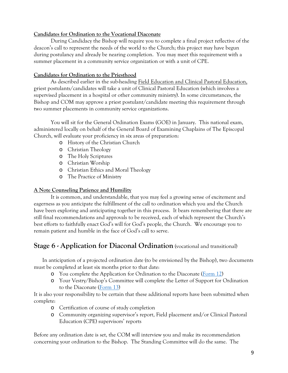## **Candidates for Ordination to the Vocational Diaconate**

During Candidacy the Bishop will require you to complete a final project reflective of the deacon's call to represent the needs of the world to the Church; this project may have begun during postulancy and already be nearing completion. You may meet this requirement with a summer placement in a community service organization or with a unit of CPE.

## **Candidates for Ordination to the Priesthood**

As described earlier in the sub-heading Field Education and Clinical Pastoral Education, priest postulants/candidates will take a unit of Clinical Pastoral Education (which involves a supervised placement in a hospital or other community ministry). In some circumstances, the Bishop and COM may approve a priest postulant/candidate meeting this requirement through two summer placements in community service organizations.

You will sit for the General Ordination Exams (GOE) in January. This national exam, administered locally on behalf of the General Board of Examining Chaplains of The Episcopal Church, will evaluate your proficiency in six areas of preparation:

- o History of the Christian Church
- o Christian Theology
- o The Holy Scriptures
- o Christian Worship
- o Christian Ethics and Moral Theology
- o The Practice of Ministry

## **A Note Counseling Patience and Humility**

It is common, and understandable, that you may feel a growing sense of excitement and eagerness as you anticipate the fulfillment of the call to ordination which you and the Church have been exploring and anticipating together in this process. It bears remembering that there are still final recommendations and approvals to be received, each of which represent the Church's best efforts to faithfully enact God's will for God's people, the Church. We encourage you to remain patient and humble in the face of God's call to serve.

# **Stage 6 - Application for Diaconal Ordination** (vocational and transitional)

In anticipation of a projected ordination date (to be envisioned by the Bishop), two documents must be completed at least six months prior to that date:

- o You complete the Application for Ordination to the Diaconate [\(Form 12\)](https://drive.google.com/file/d/1feZ88fn1PxSJBWKnG-404id_l9W-_taa/view?usp=sharing)
- o Your Vestry/Bishop's Committee will complete the Letter of Support for Ordination to the Diaconate [\(Form 13\)](https://drive.google.com/file/d/1PV9_UNcOospOWIEQUag6vE7NHgiNV1l0/view?usp=sharing)

It is also your responsibility to be certain that these additional reports have been submitted when complete:

- o Certification of course of study completion
- o Community organizing supervisor's report, Field placement and/or Clinical Pastoral Education (CPE) supervisors' reports

Before any ordination date is set, the COM will interview you and make its recommendation concerning your ordination to the Bishop. The Standing Committee will do the same. The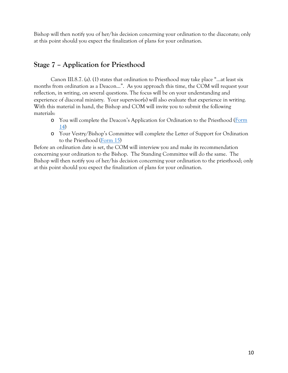Bishop will then notify you of her/his decision concerning your ordination to the diaconate; only at this point should you expect the finalization of plans for your ordination.

# **Stage 7 – Application for Priesthood**

Canon III.8.7. (a). (1) states that ordination to Priesthood may take place "…at least six months from ordination as a Deacon…". As you approach this time, the COM will request your reflection, in writing, on several questions. The focus will be on your understanding and experience of diaconal ministry. Your supervisor(s) will also evaluate that experience in writing. With this material in hand, the Bishop and COM will invite you to submit the following materials:

- o You will complete the Deacon's Application for Ordination to the Priesthood [\(Form](https://drive.google.com/file/d/17_O3rlm5HVdf8ff7Ey7wViW-HufHnSdZ/view?usp=sharing)  [14\)](https://drive.google.com/file/d/17_O3rlm5HVdf8ff7Ey7wViW-HufHnSdZ/view?usp=sharing)
- o Your Vestry/Bishop's Committee will complete the Letter of Support for Ordination to the Priesthood [\(Form 15\)](https://drive.google.com/file/d/1NeDwZdBH-7FTaxMvebSmamx83w3dCtRq/view?usp=sharing)

Before an ordination date is set, the COM will interview you and make its recommendation concerning your ordination to the Bishop. The Standing Committee will do the same. The Bishop will then notify you of her/his decision concerning your ordination to the priesthood; only at this point should you expect the finalization of plans for your ordination.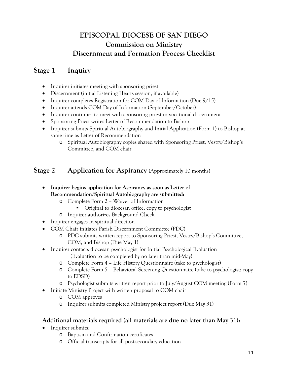# **EPISCOPAL DIOCESE OF SAN DIEGO Commission on Ministry Discernment and Formation Process Checklist**

# **Stage 1 Inquiry**

- Inquirer initiates meeting with sponsoring priest
- Discernment (initial Listening Hearts session, if available)
- Inquirer completes Registration for COM Day of Information (Due  $9/15$ )
- Inquirer attends COM Day of Information (September/October)
- Inquirer continues to meet with sponsoring priest in vocational discernment
- Sponsoring Priest writes Letter of Recommendation to Bishop
- Inquirer submits Spiritual Autobiography and Initial Application (Form 1) to Bishop at same time as Letter of Recommendation
	- o Spiritual Autobiography copies shared with Sponsoring Priest, Vestry/Bishop's Committee, and COM chair

# **Stage 2 Application for Aspirancy** (Approximately 10 months)

- **Inquirer begins application for Aspirancy as soon as Letter of Recommendation/Spiritual Autobiography are submitted:** 
	- o Complete Form 2 Waiver of Information
		- Original to diocesan office; copy to psychologist
	- o Inquirer authorizes Background Check
- Inquirer engages in spiritual direction
- COM Chair initiates Parish Discernment Committee (PDC)
	- o PDC submits written report to Sponsoring Priest, Vestry/Bishop's Committee, COM, and Bishop (Due May 1)
- Inquirer contacts diocesan psychologist for Initial Psychological Evaluation
	- (Evaluation to be completed by no later than mid-May)
	- o Complete Form 4 Life History Questionnaire (take to psychologist)
	- o Complete Form 5 Behavioral Screening Questionnaire (take to psychologist; copy to EDSD)
	- o Psychologist submits written report prior to July/August COM meeting (Form 7)
- Initiate Ministry Project with written proposal to COM chair
	- o COM approves
	- o Inquirer submits completed Ministry project report (Due May 31)

## **Additional materials required (all materials are due no later than May 31):**

- Inquirer submits:
	- o Baptism and Confirmation certificates
	- o Official transcripts for all post-secondary education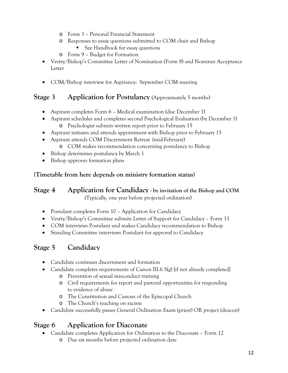- o Form 3 Personal Financial Statement
- o Responses to essay questions submitted to COM chair and Bishop ■ See Handbook for essay questions
- o Form 9 Budget for Formation
- Vestry/Bishop's Committee Letter of Nomination (Form 8) and Nominee Acceptance Letter
- COM/Bishop interview for Aspirancy: September COM meeting

# **Stage 3 Application for Postulancy** (Approximately 5 months)

- Aspirant completes Form 6 Medical examination (due December 1)
- Aspirant schedules and completes second Psychological Evaluation (by December 1) o Psychologist submits written report prior to February 15
- Aspirant initiates and attends appointment with Bishop prior to February 15
- Aspirant attends COM Discernment Retreat (mid-February) o COM makes recommendation concerning postulancy to Bishop
- Bishop determines postulancy by March 1
- Bishop approves formation plans

## **(Timetable from here depends on ministry formation status)**

## **Stage 4 Application for Candidacy - by invitation of the Bishop and COM** (Typically, one year before projected ordination)

- Postulant completes Form 10 Application for Candidacy
- Vestry/Bishop's Committee submits Letter of Support for Candidacy Form 11
- COM interviews Postulant and makes Candidacy recommendation to Bishop
- Standing Committee interviews Postulant for approval to Candidacy

# **Stage 5 Candidacy**

- Candidate continues discernment and formation
- Candidate completes requirements of Canon III.6.5(g) [if not already completed]
	- o Prevention of sexual misconduct training
	- o Civil requirements for report and pastoral opportunities for responding to evidence of abuse
	- o The Constitution and Canons of the Episcopal Church
	- o The Church's teaching on racism
- Candidate successfully passes General Ordination Exam (priest) OR project (deacon)

# **Stage 6 Application for Diaconate**

- Candidate completes Application for Ordination to the Diaconate Form 12
	- o Due six months before projected ordination date